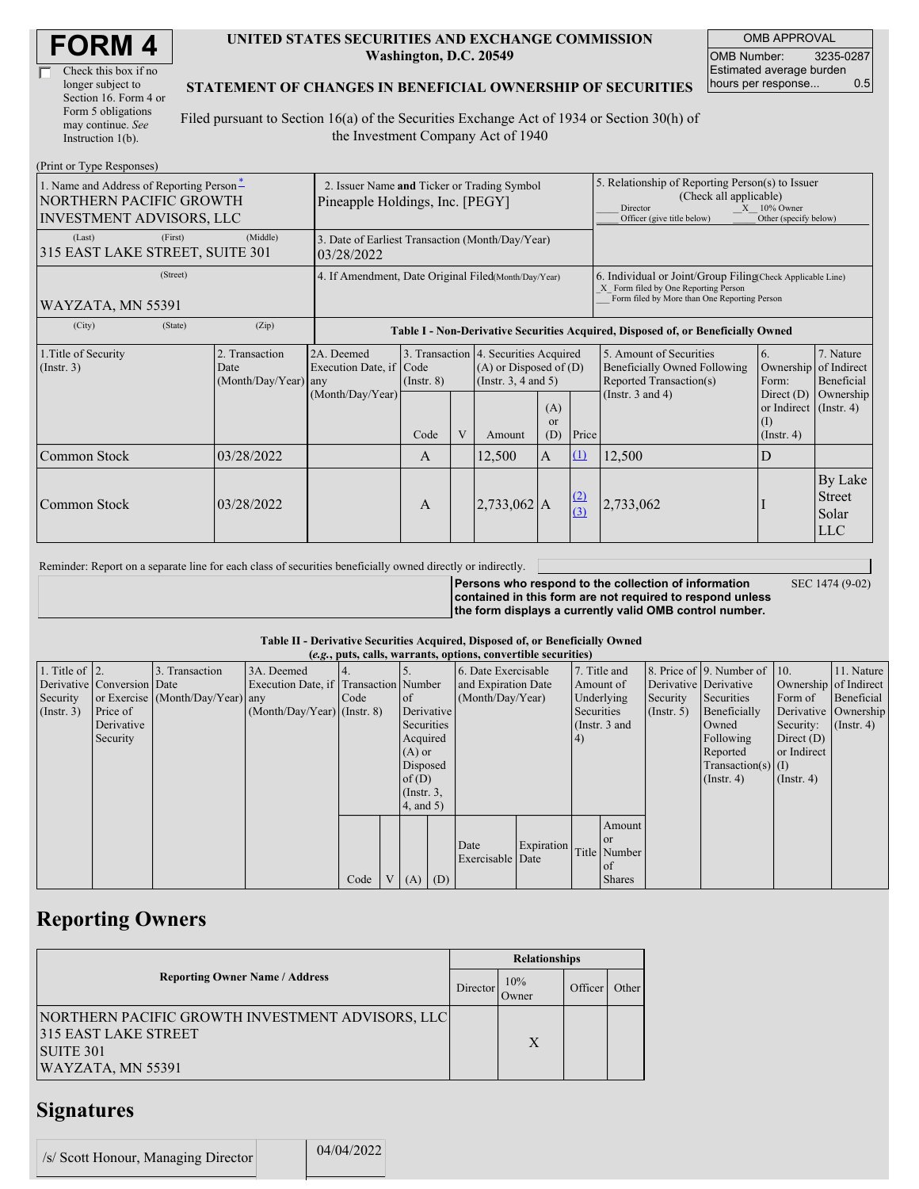| Check this box if no  |
|-----------------------|
| longer subject to     |
| Section 16. Form 4 or |
| Form 5 obligations    |
| may continue. See     |
| Instruction $1(b)$ .  |

 $(D_{\text{rint}} \text{ or } T_{\text{V}} \text{ as } D_{\text{c}}$ 

#### **UNITED STATES SECURITIES AND EXCHANGE COMMISSION Washington, D.C. 20549**

OMB APPROVAL OMB Number: 3235-0287 Estimated average burden hours per response... 0.5

### **STATEMENT OF CHANGES IN BENEFICIAL OWNERSHIP OF SECURITIES**

Filed pursuant to Section 16(a) of the Securities Exchange Act of 1934 or Section 30(h) of the Investment Company Act of 1940

| $(1 \text{ min} \text{ of } 1 \text{ ypc} \text{ respectively})$<br>1. Name and Address of Reporting Person-<br>NORTHERN PACIFIC GROWTH<br><b>INVESTMENT ADVISORS, LLC</b> | 2. Issuer Name and Ticker or Trading Symbol<br>Pineapple Holdings, Inc. [PEGY] |                                            |                                              |                 |        |                                                                                                 | 5. Relationship of Reporting Person(s) to Issuer<br>(Check all applicable)<br>$X = 10\%$ Owner<br>Director<br>Officer (give title below)<br>Other (specify below) |            |                                                                                           |                                                   |                                                  |
|----------------------------------------------------------------------------------------------------------------------------------------------------------------------------|--------------------------------------------------------------------------------|--------------------------------------------|----------------------------------------------|-----------------|--------|-------------------------------------------------------------------------------------------------|-------------------------------------------------------------------------------------------------------------------------------------------------------------------|------------|-------------------------------------------------------------------------------------------|---------------------------------------------------|--------------------------------------------------|
| (Last)<br>315 EAST LAKE STREET, SUITE 301                                                                                                                                  | 3. Date of Earliest Transaction (Month/Day/Year)<br>03/28/2022                 |                                            |                                              |                 |        |                                                                                                 |                                                                                                                                                                   |            |                                                                                           |                                                   |                                                  |
| WAYZATA, MN 55391                                                                                                                                                          | 4. If Amendment, Date Original Filed(Month/Day/Year)                           |                                            |                                              |                 |        |                                                                                                 | 6. Individual or Joint/Group Filing(Check Applicable Line)<br>X Form filed by One Reporting Person<br>Form filed by More than One Reporting Person                |            |                                                                                           |                                                   |                                                  |
| (City)                                                                                                                                                                     | (State)                                                                        | (Zip)                                      |                                              |                 |        |                                                                                                 | Table I - Non-Derivative Securities Acquired, Disposed of, or Beneficially Owned                                                                                  |            |                                                                                           |                                                   |                                                  |
| 1. Title of Security<br>(Insert. 3)                                                                                                                                        |                                                                                | 2. Transaction<br>Date<br>(Month/Day/Year) | 2A. Deemed<br>Execution Date, if Code<br>any | $($ Instr. $8)$ |        | 3. Transaction 4. Securities Acquired<br>$(A)$ or Disposed of $(D)$<br>(Instr. $3, 4$ and $5$ ) |                                                                                                                                                                   |            | 5. Amount of Securities<br><b>Beneficially Owned Following</b><br>Reported Transaction(s) | 6.<br>Form:                                       | 7. Nature<br>Ownership of Indirect<br>Beneficial |
|                                                                                                                                                                            |                                                                                |                                            | (Month/Day/Year)                             | Code            | V      | Amount                                                                                          | (A)<br><b>or</b><br>(D)                                                                                                                                           | Price      | (Instr. $3$ and $4$ )                                                                     | Direct $(D)$<br>or Indirect<br>(1)<br>(Insert, 4) | Ownership<br>$($ Instr. 4)                       |
| 03/28/2022<br>Common Stock                                                                                                                                                 |                                                                                |                                            | $\mathbf{A}$                                 |                 | 12,500 | $\mathbf{A}$                                                                                    | $\mathbf{u}$                                                                                                                                                      | 12,500     | D                                                                                         |                                                   |                                                  |
| Common Stock                                                                                                                                                               |                                                                                | 03/28/2022                                 |                                              | $\mathbf{A}$    |        | $2,733,062$ A                                                                                   |                                                                                                                                                                   | (2)<br>(3) | 2,733,062                                                                                 |                                                   | By Lake<br><b>Street</b><br>Solar<br><b>LLC</b>  |

Reminder: Report on a separate line for each class of securities beneficially owned directly or indirectly.

SEC 1474 (9-02)

**Persons who respond to the collection of information contained in this form are not required to respond unless the form displays a currently valid OMB control number.**

### **Table II - Derivative Securities Acquired, Disposed of, or Beneficially Owned**

| (e.g., puts, calls, warrants, options, convertible securities) |                            |                                  |                                       |      |                |                 |            |                     |            |                 |               |             |                              |                       |                      |
|----------------------------------------------------------------|----------------------------|----------------------------------|---------------------------------------|------|----------------|-----------------|------------|---------------------|------------|-----------------|---------------|-------------|------------------------------|-----------------------|----------------------|
| 1. Title of $\vert$ 2.                                         |                            | 3. Transaction                   | 3A. Deemed                            |      |                |                 |            | 6. Date Exercisable |            | 7. Title and    |               |             | 8. Price of 9. Number of 10. |                       | 11. Nature           |
|                                                                | Derivative Conversion Date |                                  | Execution Date, if Transaction Number |      |                |                 |            | and Expiration Date |            | Amount of       |               |             | Derivative Derivative        | Ownership of Indirect |                      |
| Security                                                       |                            | or Exercise (Month/Day/Year) any |                                       | Code |                | of              |            | (Month/Day/Year)    |            | Underlying      |               | Security    | Securities                   | Form of               | Beneficial           |
| (Insert. 3)                                                    | Price of                   |                                  | $(Month/Day/Year)$ (Instr. 8)         |      |                |                 | Derivative |                     |            | Securities      |               | (Insert. 5) | Beneficially                 |                       | Derivative Ownership |
|                                                                | Derivative                 |                                  |                                       |      |                | Securities      |            |                     |            | (Instr. $3$ and |               |             | Owned                        | Security:             | $($ Instr. 4 $)$     |
|                                                                | Security                   |                                  |                                       |      |                | Acquired        |            |                     |            | (4)             |               |             | Following                    | Direct $(D)$          |                      |
|                                                                |                            |                                  |                                       |      |                | $(A)$ or        |            |                     |            |                 |               |             | Reported                     | or Indirect           |                      |
|                                                                |                            |                                  |                                       |      |                | Disposed        |            |                     |            |                 |               |             | Transaction(s) $(I)$         |                       |                      |
|                                                                |                            |                                  |                                       |      |                | of(D)           |            |                     |            |                 |               |             | $($ Instr. 4 $)$             | $($ Instr. 4)         |                      |
|                                                                |                            |                                  |                                       |      |                | $($ Instr. $3,$ |            |                     |            |                 |               |             |                              |                       |                      |
|                                                                |                            |                                  |                                       |      |                | 4, and 5)       |            |                     |            |                 |               |             |                              |                       |                      |
|                                                                |                            |                                  |                                       |      |                |                 |            |                     |            |                 | Amount        |             |                              |                       |                      |
|                                                                |                            |                                  |                                       |      |                |                 |            |                     |            |                 | <sub>or</sub> |             |                              |                       |                      |
|                                                                |                            |                                  |                                       |      |                |                 |            | Date                | Expiration |                 | Title Number  |             |                              |                       |                      |
|                                                                |                            |                                  |                                       |      |                |                 |            | Exercisable Date    |            |                 | of            |             |                              |                       |                      |
|                                                                |                            |                                  |                                       | Code | V <sub>1</sub> | $(A)$ $(D)$     |            |                     |            |                 | <b>Shares</b> |             |                              |                       |                      |

## **Reporting Owners**

|                                                                                                                   | <b>Relationships</b> |              |         |       |  |  |
|-------------------------------------------------------------------------------------------------------------------|----------------------|--------------|---------|-------|--|--|
| <b>Reporting Owner Name / Address</b>                                                                             | Director             | 10%<br>Owner | Officer | Other |  |  |
| NORTHERN PACIFIC GROWTH INVESTMENT ADVISORS, LLC<br>315 EAST LAKE STREET<br><b>SUITE 301</b><br>WAYZATA, MN 55391 |                      | X            |         |       |  |  |

# **Signatures**

| /s/ Scott Honour, Managing Director |  | 04/04/2022 |
|-------------------------------------|--|------------|
|-------------------------------------|--|------------|